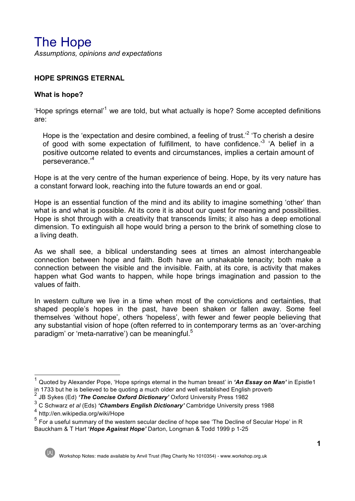# The Hope

*Assumptions, opinions and expectations*

#### **HOPE SPRINGS ETERNAL**

#### **What is hope?**

'Hope springs eternal'1 we are told, but what actually is hope? Some accepted definitions are:

Hope is the 'expectation and desire combined, a feeling of trust.<sup>'2</sup> 'To cherish a desire of good with some expectation of fulfillment, to have confidence.<sup>3</sup> 'A belief in a positive outcome related to events and circumstances, implies a certain amount of perseverance.'<sup>4</sup>

Hope is at the very centre of the human experience of being. Hope, by its very nature has a constant forward look, reaching into the future towards an end or goal.

Hope is an essential function of the mind and its ability to imagine something 'other' than what is and what is possible. At its core it is about our quest for meaning and possibilities. Hope is shot through with a creativity that transcends limits; it also has a deep emotional dimension. To extinguish all hope would bring a person to the brink of something close to a living death.

As we shall see, a biblical understanding sees at times an almost interchangeable connection between hope and faith. Both have an unshakable tenacity; both make a connection between the visible and the invisible. Faith, at its core, is activity that makes happen what God wants to happen, while hope brings imagination and passion to the values of faith.

In western culture we live in a time when most of the convictions and certainties, that shaped people's hopes in the past, have been shaken or fallen away. Some feel themselves 'without hope', others 'hopeless', with fewer and fewer people believing that any substantial vision of hope (often referred to in contemporary terms as an 'over-arching paradigm' or 'meta-narrative') can be meaningful.<sup>5</sup>

<sup>1</sup> Quoted by Alexander Pope, 'Hope springs eternal in the human breast' in *'An Essay on Man'* in Epistle1 in 1733 but he is believed to be quoting a much older and well established English proverb

<sup>2</sup> JB Sykes (Ed) *'The Concise Oxford Dictionary'* Oxford University Press 1982

<sup>3</sup> C Schwarz *et al* (Eds) *'Chambers English Dictionary'* Cambridge University press 1988

<sup>4</sup> http://en.wikipedia.org/wiki/Hope

 $<sup>5</sup>$  For a useful summary of the western secular decline of hope see 'The Decline of Secular Hope' in R</sup> Bauckham & T Hart **'***Hope Against Hope'* Darton, Longman & Todd 1999 p 1-25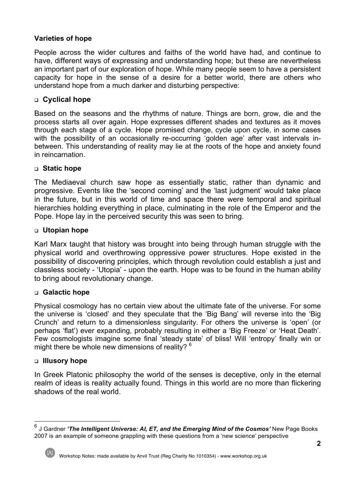# **Varieties of hope**

People across the wider cultures and faiths of the world have had, and continue to have, different ways of expressing and understanding hope; but these are nevertheless an important part of our exploration of hope. While many people seem to have a persistent capacity for hope in the sense of a desire for a better world, there are others who understand hope from a much darker and disturbing perspective:

# <sup>q</sup> **Cyclical hope**

Based on the seasons and the rhythms of nature. Things are born, grow, die and the process starts all over again. Hope expresses different shades and textures as it moves through each stage of a cycle. Hope promised change, cycle upon cycle, in some cases with the possibility of an occasionally re-occurring 'golden age' after vast intervals inbetween. This understanding of reality may lie at the roots of the hope and anxiety found in reincarnation.

#### <sup>q</sup> **Static hope**

The Mediaeval church saw hope as essentially static, rather than dynamic and progressive. Events like the 'second coming' and the 'last judgment' would take place in the future, but in this world of time and space there were temporal and spiritual hierarchies holding everything in place, culminating in the role of the Emperor and the Pope. Hope lay in the perceived security this was seen to bring.

#### <sup>q</sup> **Utopian hope**

Karl Marx taught that history was brought into being through human struggle with the physical world and overthrowing oppressive power structures. Hope existed in the possibility of discovering principles, which through revolution could establish a just and classless society - 'Utopia' - upon the earth. Hope was to be found in the human ability to bring about revolutionary change.

#### <sup>q</sup> **Galactic hope**

Physical cosmology has no certain view about the ultimate fate of the universe. For some the universe is 'closed' and they speculate that the 'Big Bang' will reverse into the 'Big Crunch' and return to a dimensionless singularity. For others the universe is 'open' (or perhaps 'flat') ever expanding, probably resulting in either a 'Big Freeze' or 'Heat Death'. Few cosmologists imagine some final 'steady state' of bliss! Will 'entropy' finally win or might there be whole new dimensions of reality?  $6$ 

#### <sup>q</sup> **Illusory hope**

In Greek Platonic philosophy the world of the senses is deceptive, only in the eternal realm of ideas is reality actually found. Things in this world are no more than flickering shadows of the real world.

<sup>6</sup> J Gardner *'The Intelligent Universe: AI, ET, and the Emerging Mind of the Cosmos'* New Page Books 2007 is an example of someone grappling with these questions from a 'new science' perspective

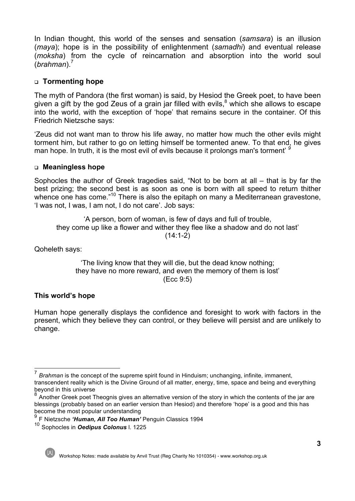In Indian thought, this world of the senses and sensation (*samsara*) is an illusion (*maya*); hope is in the possibility of enlightenment (*samadhi*) and eventual release (*moksha*) from the cycle of reincarnation and absorption into the world soul (*brahman*).<sup>7</sup>

# <sup>q</sup> **Tormenting hope**

The myth of Pandora (the first woman) is said, by Hesiod the Greek poet, to have been given a gift by the god Zeus of a grain jar filled with evils, $8$  which she allows to escape into the world, with the exception of 'hope' that remains secure in the container. Of this Friedrich Nietzsche says:

'Zeus did not want man to throw his life away, no matter how much the other evils might torment him, but rather to go on letting himself be tormented anew. To that end, he gives man hope. In truth, it is the most evil of evils because it prolongs man's torment' *<sup>9</sup>*

# <sup>q</sup> **Meaningless hope**

Sophocles the author of Greek tragedies said, "Not to be born at all – that is by far the best prizing; the second best is as soon as one is born with all speed to return thither whence one has come."<sup>10</sup> There is also the epitaph on many a Mediterranean gravestone, 'I was not, I was, I am not, I do not care'. Job says:

'A person, born of woman, is few of days and full of trouble, they come up like a flower and wither they flee like a shadow and do not last'  $(14:1-2)$ 

Qoheleth says:

'The living know that they will die, but the dead know nothing; they have no more reward, and even the memory of them is lost' (Ecc 9:5)

# **This world's hope**

Human hope generally displays the confidence and foresight to work with factors in the present, which they believe they can control, or they believe will persist and are unlikely to change.

<sup>10</sup> Sophocles in *Oedipus Colonus* l. 1225



<sup>7</sup> *Brahman* is the concept of the supreme spirit found in Hinduism; unchanging, infinite, immanent, transcendent reality which is the Divine Ground of all matter, energy, time, space and being and everything beyond in this universe

<sup>&</sup>lt;sup>8</sup> Another Greek poet Theognis gives an alternative version of the story in which the contents of the jar are blessings (probably based on an earlier version than Hesiod) and therefore 'hope' is a good and this has become the most popular understanding

<sup>9</sup> F Nietzsche *'Human, All Too Human'* Penguin Classics 1994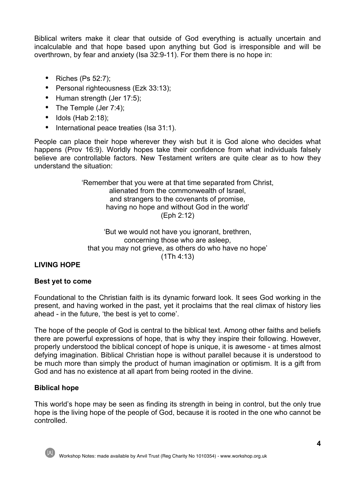Biblical writers make it clear that outside of God everything is actually uncertain and incalculable and that hope based upon anything but God is irresponsible and will be overthrown, by fear and anxiety (Isa 32:9-11). For them there is no hope in:

- Riches (Ps 52:7);
- Personal righteousness (Ezk 33:13);
- Human strength (Jer 17:5);
- The Temple (Jer 7:4);
- Idols (Hab 2:18);
- International peace treaties (Isa 31:1).

People can place their hope wherever they wish but it is God alone who decides what happens (Prov 16:9). Worldly hopes take their confidence from what individuals falsely believe are controllable factors. New Testament writers are quite clear as to how they understand the situation:

> 'Remember that you were at that time separated from Christ, alienated from the commonwealth of Israel, and strangers to the covenants of promise, having no hope and without God in the world' (Eph 2:12)

'But we would not have you ignorant, brethren, concerning those who are asleep, that you may not grieve, as others do who have no hope' (1Th 4:13)

# **LIVING HOPE**

#### **Best yet to come**

Foundational to the Christian faith is its dynamic forward look. It sees God working in the present, and having worked in the past, yet it proclaims that the real climax of history lies ahead - in the future, 'the best is yet to come'.

The hope of the people of God is central to the biblical text. Among other faiths and beliefs there are powerful expressions of hope, that is why they inspire their following. However, properly understood the biblical concept of hope is unique, it is awesome - at times almost defying imagination. Biblical Christian hope is without parallel because it is understood to be much more than simply the product of human imagination or optimism. It is a gift from God and has no existence at all apart from being rooted in the divine.

# **Biblical hope**

This world's hope may be seen as finding its strength in being in control, but the only true hope is the living hope of the people of God, because it is rooted in the one who cannot be controlled.



Workshop Notes: made available by Anvil Trust (Reg Charity No 1010354) - www.workshop.org.uk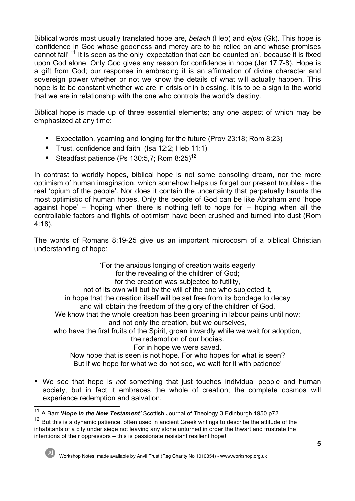Biblical words most usually translated hope are, *betach* (Heb) and *elpis* (Gk). This hope is 'confidence in God whose goodness and mercy are to be relied on and whose promises cannot fail<sup>' 11</sup> It is seen as the only 'expectation that can be counted on', because it is fixed upon God alone. Only God gives any reason for confidence in hope (Jer 17:7-8). Hope is a gift from God; our response in embracing it is an affirmation of divine character and sovereign power whether or not we know the details of what will actually happen. This hope is to be constant whether we are in crisis or in blessing. It is to be a sign to the world that we are in relationship with the one who controls the world's destiny.

Biblical hope is made up of three essential elements; any one aspect of which may be emphasized at any time:

- Expectation, yearning and longing for the future (Prov 23:18; Rom 8:23)
- Trust, confidence and faith (Isa 12:2; Heb 11:1)
- Steadfast patience (Ps 130:5,7; Rom  $8:25$ )<sup>12</sup>

In contrast to worldly hopes, biblical hope is not some consoling dream, nor the mere optimism of human imagination, which somehow helps us forget our present troubles - the real 'opium of the people'. Nor does it contain the uncertainty that perpetually haunts the most optimistic of human hopes. Only the people of God can be like Abraham and 'hope against hope' – 'hoping when there is nothing left to hope for' – hoping when all the controllable factors and flights of optimism have been crushed and turned into dust (Rom 4:18).

The words of Romans 8:19-25 give us an important microcosm of a biblical Christian understanding of hope:

'For the anxious longing of creation waits eagerly for the revealing of the children of God; for the creation was subjected to futility, not of its own will but by the will of the one who subjected it, in hope that the creation itself will be set free from its bondage to decay and will obtain the freedom of the glory of the children of God. We know that the whole creation has been groaning in labour pains until now; and not only the creation, but we ourselves, who have the first fruits of the Spirit, groan inwardly while we wait for adoption, the redemption of our bodies. For in hope we were saved. Now hope that is seen is not hope. For who hopes for what is seen? But if we hope for what we do not see, we wait for it with patience'

• We see that hope is *not* something that just touches individual people and human society, but in fact it embraces the whole of creation; the complete cosmos will experience redemption and salvation.

<sup>12</sup> But this is a dynamic patience, often used in ancient Greek writings to describe the attitude of the inhabitants of a city under siege not leaving any stone unturned in order the thwart and frustrate the intentions of their oppressors – this is passionate resistant resilient hope!



<sup>11</sup> A Barr *'Hope in the New Testament'* Scottish Journal of Theology 3 Edinburgh 1950 p72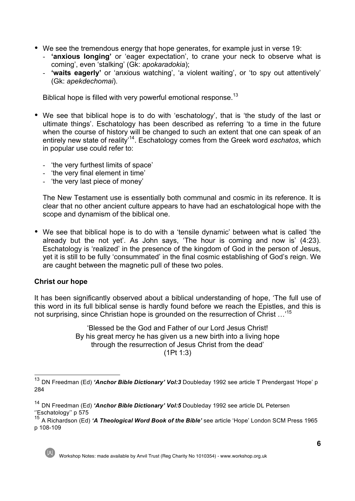- We see the tremendous energy that hope generates, for example just in verse 19:
	- **'anxious longing'** or 'eager expectation', to crane your neck to observe what is coming', even 'stalking' (Gk: *apokaradokia*);
	- **'waits eagerly'** or 'anxious watching', 'a violent waiting', or 'to spy out attentively' (Gk: *apekdechomai*).

Biblical hope is filled with very powerful emotional response.<sup>13</sup>

- We see that biblical hope is to do with 'eschatology', that is 'the study of the last or ultimate things'. Eschatology has been described as referring 'to a time in the future when the course of history will be changed to such an extent that one can speak of an entirely new state of reality'14. Eschatology comes from the Greek word *eschatos*, which in popular use could refer to:
	- 'the very furthest limits of space'
	- 'the very final element in time'
	- 'the very last piece of money'

The New Testament use is essentially both communal and cosmic in its reference. It is clear that no other ancient culture appears to have had an eschatological hope with the scope and dynamism of the biblical one.

• We see that biblical hope is to do with a 'tensile dynamic' between what is called 'the already but the not yet'. As John says, 'The hour is coming and now is' (4:23). Eschatology is 'realized' in the presence of the kingdom of God in the person of Jesus, yet it is still to be fully 'consummated' in the final cosmic establishing of God's reign. We are caught between the magnetic pull of these two poles.

# **Christ our hope**

It has been significantly observed about a biblical understanding of hope, 'The full use of this word in its full biblical sense is hardly found before we reach the Epistles, and this is not surprising, since Christian hope is grounded on the resurrection of Christ ...'<sup>15</sup>

> 'Blessed be the God and Father of our Lord Jesus Christ! By his great mercy he has given us a new birth into a living hope through the resurrection of Jesus Christ from the dead' (1Pt 1:3)

<sup>15</sup> A Richardson (Ed) *'A Theological Word Book of the Bible'* see article 'Hope' London SCM Press 1965 p 108-109



<sup>13</sup> DN Freedman (Ed) *'Anchor Bible Dictionary' Vol:3* Doubleday 1992 see article T Prendergast 'Hope' p 284

<sup>14</sup> DN Freedman (Ed) *'Anchor Bible Dictionary' Vol:5* Doubleday 1992 see article DL Petersen ''Eschatology'' p 575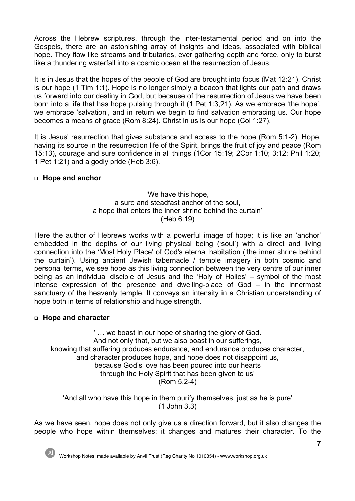Across the Hebrew scriptures, through the inter-testamental period and on into the Gospels, there are an astonishing array of insights and ideas, associated with biblical hope. They flow like streams and tributaries, ever gathering depth and force, only to burst like a thundering waterfall into a cosmic ocean at the resurrection of Jesus.

It is in Jesus that the hopes of the people of God are brought into focus (Mat 12:21). Christ is our hope (1 Tim 1:1). Hope is no longer simply a beacon that lights our path and draws us forward into our destiny in God, but because of the resurrection of Jesus we have been born into a life that has hope pulsing through it (1 Pet 1:3,21). As we embrace 'the hope', we embrace 'salvation', and in return we begin to find salvation embracing us. Our hope becomes a means of grace (Rom 8:24). Christ in us is our hope (Col 1:27).

It is Jesus' resurrection that gives substance and access to the hope (Rom 5:1-2). Hope, having its source in the resurrection life of the Spirit, brings the fruit of joy and peace (Rom 15:13), courage and sure confidence in all things (1Cor 15:19; 2Cor 1:10; 3:12; Phil 1:20; 1 Pet 1:21) and a godly pride (Heb 3:6).

#### <sup>q</sup> **Hope and anchor**

'We have this hope, a sure and steadfast anchor of the soul, a hope that enters the inner shrine behind the curtain' (Heb 6:19)

Here the author of Hebrews works with a powerful image of hope; it is like an 'anchor' embedded in the depths of our living physical being ('soul') with a direct and living connection into the 'Most Holy Place' of God's eternal habitation ('the inner shrine behind the curtain'). Using ancient Jewish tabernacle / temple imagery in both cosmic and personal terms, we see hope as this living connection between the very centre of our inner being as an individual disciple of Jesus and the 'Holy of Holies' – symbol of the most intense expression of the presence and dwelling-place of God – in the innermost sanctuary of the heavenly temple. It conveys an intensity in a Christian understanding of hope both in terms of relationship and huge strength.

#### <sup>q</sup> **Hope and character**

' … we boast in our hope of sharing the glory of God. And not only that, but we also boast in our sufferings, knowing that suffering produces endurance, and endurance produces character, and character produces hope, and hope does not disappoint us, because God's love has been poured into our hearts through the Holy Spirit that has been given to us' (Rom 5.2-4)

'And all who have this hope in them purify themselves, just as he is pure' (1 John 3.3)

As we have seen, hope does not only give us a direction forward, but it also changes the people who hope within themselves; it changes and matures their character. To the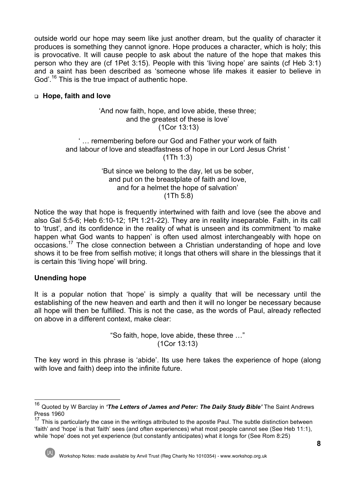outside world our hope may seem like just another dream, but the quality of character it produces is something they cannot ignore. Hope produces a character, which is holy; this is provocative. It will cause people to ask about the nature of the hope that makes this person who they are (cf 1Pet 3:15). People with this 'living hope' are saints (cf Heb 3:1) and a saint has been described as 'someone whose life makes it easier to believe in God'.<sup>16</sup> This is the true impact of authentic hope.

#### <sup>q</sup> **Hope, faith and love**

#### 'And now faith, hope, and love abide, these three; and the greatest of these is love' (1Cor 13:13)

# ' … remembering before our God and Father your work of faith and labour of love and steadfastness of hope in our Lord Jesus Christ ' (1Th 1:3)

#### 'But since we belong to the day, let us be sober, and put on the breastplate of faith and love, and for a helmet the hope of salvation' (1Th 5:8)

Notice the way that hope is frequently intertwined with faith and love (see the above and also Gal 5:5-6; Heb 6:10-12; 1Pt 1:21-22). They are in reality inseparable. Faith, in its call to 'trust', and its confidence in the reality of what is unseen and its commitment 'to make happen what God wants to happen' is often used almost interchangeably with hope on occasions.17 The close connection between a Christian understanding of hope and love shows it to be free from selfish motive; it longs that others will share in the blessings that it is certain this 'living hope' will bring.

# **Unending hope**

It is a popular notion that 'hope' is simply a quality that will be necessary until the establishing of the new heaven and earth and then it will no longer be necessary because all hope will then be fulfilled. This is not the case, as the words of Paul, already reflected on above in a different context, make clear:

> "So faith, hope, love abide, these three …" (1Cor 13:13)

The key word in this phrase is 'abide'. Its use here takes the experience of hope (along with love and faith) deep into the infinite future.

<sup>16</sup> Quoted by W Barclay in *'The Letters of James and Peter: The Daily Study Bible'* The Saint Andrews Press 1960

<sup>&</sup>lt;sup>17</sup> This is particularly the case in the writings attributed to the apostle Paul. The subtle distinction between 'faith' and 'hope' is that 'faith' sees (and often experiences) what most people cannot see (See Heb 11:1), while 'hope' does not yet experience (but constantly anticipates) what it longs for (See Rom 8:25)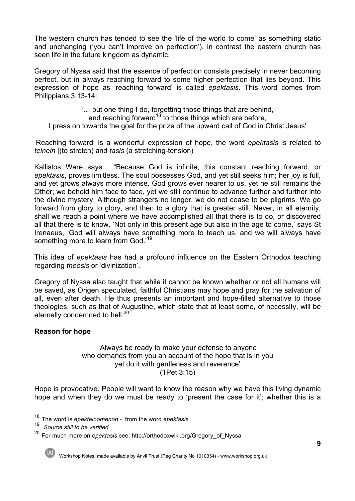The western church has tended to see the 'life of the world to come' as something static and unchanging ('you can't improve on perfection'), in contrast the eastern church has seen life in the future kingdom as dynamic.

Gregory of Nyssa said that the essence of perfection consists precisely in never becoming perfect, but in always reaching forward to some higher perfection that lies beyond. This expression of hope as 'reaching forward' is called *epektasis*. This word comes from Philippians 3:13-14:

'… but one thing I do, forgetting those things that are behind,

and reaching forward<sup>18</sup> to those things which are before,

I press on towards the goal for the prize of the upward call of God in Christ Jesus'

'Reaching forward' is a wonderful expression of hope, the word *epektasis* is related to *teinein* [(to stretch) and *tasis* (a stretching-tension)

Kallistos Ware says: "Because God is infinite, this constant reaching forward, or *epektasis*, proves limitless. The soul possesses God, and yet still seeks him; her joy is full, and yet grows always more intense. God grows ever nearer to us, yet he still remains the Other; we behold him face to face, yet we still continue to advance further and further into the divine mystery. Although strangers no longer, we do not cease to be pilgrims. We go forward from glory to glory, and then to a glory that is greater still. Never, in all eternity, shall we reach a point where we have accomplished all that there is to do, or discovered all that there is to know. 'Not only in this present age but also in the age to come,' says St Irenaeus, 'God will always have something more to teach us, and we will always have something more to learn from God.<sup>19</sup>

This idea of *epektasis* has had a profound influence on the Eastern Orthodox teaching regarding *theosis* or 'divinization'.

Gregory of Nyssa also taught that while it cannot be known whether or not all humans will be saved, as Origen speculated, faithful Christians may hope and pray for the salvation of all, even after death. He thus presents an important and hope-filled alternative to those theologies, such as that of Augustine, which state that at least some, of necessity, will be eternally condemned to hell.<sup>20</sup>

# **Reason for hope**

#### 'Always be ready to make your defense to anyone who demands from you an account of the hope that is in you yet do it with gentleness and reverence' (1Pet 3:15)

Hope is provocative. People will want to know the reason why we have this living dynamic hope and when they do we must be ready to 'present the case for it'; whether this is a

<sup>20</sup> For much more on *epektasis s*ee: http://orthodoxwiki.org/Gregory\_of\_Nyssa



Workshop Notes: made available by Anvil Trust (Reg Charity No 1010354) - www.workshop.org.uk

<sup>18</sup> The word is *epekteinomenon*,- from the word *epektasis*

<sup>19</sup> *Source still to be verified*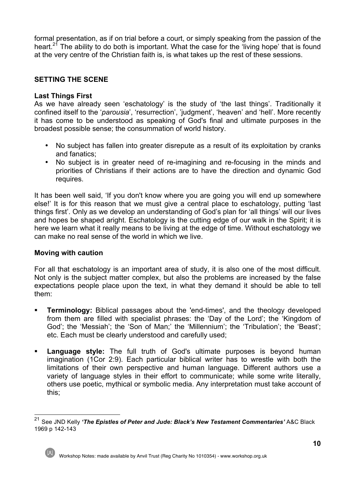formal presentation, as if on trial before a court, or simply speaking from the passion of the heart.<sup>21</sup> The ability to do both is important. What the case for the 'living hope' that is found at the very centre of the Christian faith is, is what takes up the rest of these sessions.

### **SETTING THE SCENE**

#### **Last Things First**

As we have already seen 'eschatology' is the study of 'the last things'. Traditionally it confined itself to the '*parousia*', 'resurrection', 'judgment', 'heaven' and 'hell'. More recently it has come to be understood as speaking of God's final and ultimate purposes in the broadest possible sense; the consummation of world history.

- No subject has fallen into greater disrepute as a result of its exploitation by cranks and fanatics;
- No subject is in greater need of re-imagining and re-focusing in the minds and priorities of Christians if their actions are to have the direction and dynamic God requires.

It has been well said, 'If you don't know where you are going you will end up somewhere else!' It is for this reason that we must give a central place to eschatology, putting 'last things first'. Only as we develop an understanding of God's plan for 'all things' will our lives and hopes be shaped aright. Eschatology is the cutting edge of our walk in the Spirit; it is here we learn what it really means to be living at the edge of time. Without eschatology we can make no real sense of the world in which we live.

#### **Moving with caution**

For all that eschatology is an important area of study, it is also one of the most difficult. Not only is the subject matter complex, but also the problems are increased by the false expectations people place upon the text, in what they demand it should be able to tell them:

- **Terminology:** Biblical passages about the 'end-times', and the theology developed from them are filled with specialist phrases: the 'Day of the Lord'; the 'Kingdom of God'; the 'Messiah'; the 'Son of Man;' the 'Millennium'; the 'Tribulation'; the 'Beast'; etc. Each must be clearly understood and carefully used;
- § **Language style:** The full truth of God's ultimate purposes is beyond human imagination (1Cor 2:9). Each particular biblical writer has to wrestle with both the limitations of their own perspective and human language. Different authors use a variety of language styles in their effort to communicate; while some write literally, others use poetic, mythical or symbolic media. Any interpretation must take account of this;

<sup>21</sup> See JND Kelly *'The Epistles of Peter and Jude: Black's New Testament Commentaries'* A&C Black 1969 p 142-143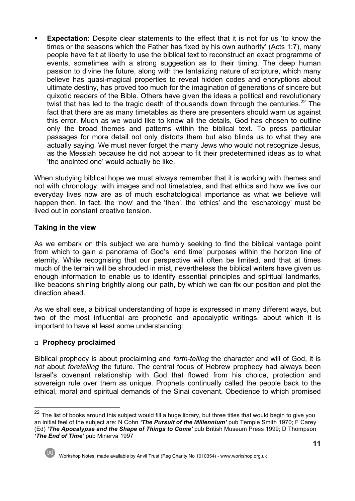**Expectation:** Despite clear statements to the effect that it is not for us 'to know the times or the seasons which the Father has fixed by his own authority' (Acts 1:7), many people have felt at liberty to use the biblical text to reconstruct an exact programme of events, sometimes with a strong suggestion as to their timing. The deep human passion to divine the future, along with the tantalizing nature of scripture, which many believe has quasi-magical properties to reveal hidden codes and encryptions about ultimate destiny, has proved too much for the imagination of generations of sincere but quixotic readers of the Bible. Others have given the ideas a political and revolutionary twist that has led to the tragic death of thousands down through the centuries.<sup>22</sup> The fact that there are as many timetables as there are presenters should warn us against this error. Much as we would like to know all the details, God has chosen to outline only the broad themes and patterns within the biblical text. To press particular passages for more detail not only distorts them but also blinds us to what they are actually saying. We must never forget the many Jews who would not recognize Jesus, as the Messiah because he did not appear to fit their predetermined ideas as to what 'the anointed one' would actually be like.

When studying biblical hope we must always remember that it is working with themes and not with chronology, with images and not timetables, and that ethics and how we live our everyday lives now are as of much eschatological importance as what we believe will happen then. In fact, the 'now' and the 'then', the 'ethics' and the 'eschatology' must be lived out in constant creative tension.

# **Taking in the view**

As we embark on this subject we are humbly seeking to find the biblical vantage point from which to gain a panorama of God's 'end time' purposes within the horizon line of eternity. While recognising that our perspective will often be limited, and that at times much of the terrain will be shrouded in mist, nevertheless the biblical writers have given us enough information to enable us to identify essential principles and spiritual landmarks, like beacons shining brightly along our path, by which we can fix our position and plot the direction ahead.

As we shall see, a biblical understanding of hope is expressed in many different ways, but two of the most influential are prophetic and apocalyptic writings, about which it is important to have at least some understanding:

# <sup>q</sup> **Prophecy proclaimed**

Biblical prophecy is about proclaiming and *forth-telling* the character and will of God, it is *not* about *foretelling* the future. The central focus of Hebrew prophecy had always been Israel's covenant relationship with God that flowed from his choice, protection and sovereign rule over them as unique. Prophets continually called the people back to the ethical, moral and spiritual demands of the Sinai covenant. Obedience to which promised

<sup>&</sup>lt;sup>22</sup> The list of books around this subject would fill a huge library, but three titles that would begin to give you an initial feel of the subject are: N Cohn *'The Pursuit of the Millennium'* pub Temple Smith 1970; F Carey (Ed) *'The Apocalypse and the Shape of Things to Come'* pub British Museum Press 1999; D Thompson *'The End of Time'* pub Minerva 1997



Workshop Notes: made available by Anvil Trust (Reg Charity No 1010354) - www.workshop.org.uk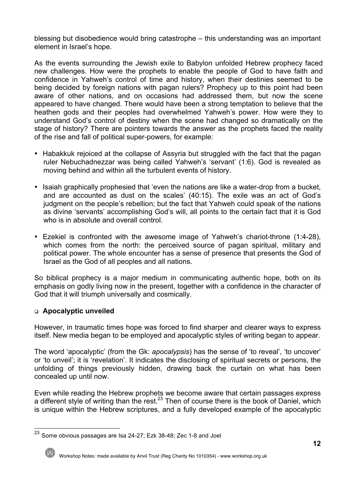blessing but disobedience would bring catastrophe – this understanding was an important element in Israel's hope.

As the events surrounding the Jewish exile to Babylon unfolded Hebrew prophecy faced new challenges. How were the prophets to enable the people of God to have faith and confidence in Yahweh's control of time and history, when their destinies seemed to be being decided by foreign nations with pagan rulers? Prophecy up to this point had been aware of other nations, and on occasions had addressed them, but now the scene appeared to have changed. There would have been a strong temptation to believe that the heathen gods and their peoples had overwhelmed Yahweh's power. How were they to understand God's control of destiny when the scene had changed so dramatically on the stage of history? There are pointers towards the answer as the prophets faced the reality of the rise and fall of political super-powers, for example:

- Habakkuk rejoiced at the collapse of Assyria but struggled with the fact that the pagan ruler Nebuchadnezzar was being called Yahweh's 'servant' (1:6). God is revealed as moving behind and within all the turbulent events of history.
- Isaiah graphically prophesied that 'even the nations are like a water-drop from a bucket, and are accounted as dust on the scales' (40:15). The exile was an act of God's judgment on the people's rebellion; but the fact that Yahweh could speak of the nations as divine 'servants' accomplishing God's will, all points to the certain fact that it is God who is in absolute and overall control.
- Ezekiel is confronted with the awesome image of Yahweh's chariot-throne (1:4-28), which comes from the north: the perceived source of pagan spiritual, military and political power. The whole encounter has a sense of presence that presents the God of Israel as the God of all peoples and all nations.

So biblical prophecy is a major medium in communicating authentic hope, both on its emphasis on godly living now in the present, together with a confidence in the character of God that it will triumph universally and cosmically.

# <sup>q</sup> **Apocalyptic unveiled**

However, in traumatic times hope was forced to find sharper and clearer ways to express itself. New media began to be employed and apocalyptic styles of writing began to appear.

The word 'apocalyptic' (from the Gk: *apocalypsis*) has the sense of 'to reveal', 'to uncover' or 'to unveil'; it is 'revelation'. It indicates the disclosing of spiritual secrets or persons, the unfolding of things previously hidden, drawing back the curtain on what has been concealed up until now.

Even while reading the Hebrew prophets we become aware that certain passages express a different style of writing than the rest.<sup>23</sup> Then of course there is the book of Daniel, which is unique within the Hebrew scriptures, and a fully developed example of the apocalyptic

<sup>23</sup> Some obvious passages are Isa 24-27; Ezk 38-48; Zec 1-8 and Joel

Workshop Notes: made available by Anvil Trust (Reg Charity No 1010354) - www.workshop.org.uk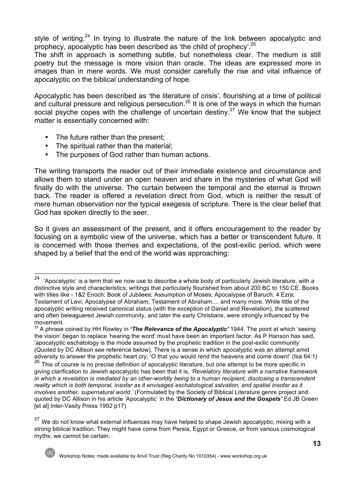style of writing.<sup>24</sup> In trying to illustrate the nature of the link between apocalyptic and prophecy, apocalyptic has been described as 'the child of prophecy'.25

The shift in approach is something subtle, but nonetheless clear. The medium is still poetry but the message is more vision than oracle. The ideas are expressed more in images than in mere words. We must consider carefully the rise and vital influence of apocalyptic on the biblical understanding of hope.

Apocalyptic has been described as 'the literature of crisis', flourishing at a time of political and cultural pressure and religious persecution.26 It is one of the ways in which the human social psyche copes with the challenge of uncertain destiny.<sup>27</sup> We know that the subject matter is essentially concerned with:

- The future rather than the present;
- The spiritual rather than the material;
- The purposes of God rather than human actions.

The writing transports the reader out of their immediate existence and circumstance and allows them to stand under an open heaven and share in the mysteries of what God will finally do with the universe. The curtain between the temporal and the eternal is thrown back. The reader is offered a revelation direct from God, which is neither the result of mere human observation nor the typical exegesis of scripture. There is the clear belief that God has spoken directly to the seer.

So it gives an assessment of the present, and it offers encouragement to the reader by focusing on a symbolic view of the universe, which has a better or transcendent future. It is concerned with those themes and expectations, of the post-exilic period, which were shaped by a belief that the end of the world was approaching:

<sup>&</sup>lt;sup>27</sup> We do not know what external influences may have helped to shape Jewish apocalyptic; mixing with a strong biblical tradition. They might have come from Persia, Egypt or Greece, or from various cosmological myths; we cannot be certain.



<sup>&</sup>lt;sup>24</sup> 'Apocalyptic' is a term that we now use to describe a whole body of particularly Jewish literature, with a distinctive style and characteristics, writings that particularly flourished from about 200 BC to 150 CE. Books with titles like - 1&2 Enoch; Book of Jubilees; Assumption of Moses; Apocalypse of Baruch; 4 Ezra; Testament of Levi; Apocalypse of Abraham; Testament of Abraham.... and many more. While little of the apocalyptic writing received canonical status (with the exception of Daniel and Revelation), the scattered and often beleaguered Jewish community, and later the early Christians, were strongly influenced by the movement.

<sup>25</sup> A phrase coined by HH Rowley in *'The Relevance of the Apocalyptic'* 1944. The point at which 'seeing the vision' began to replace 'hearing the word' must have been an important factor. As P Hanson has said, 'apocalyptic eschatology is the mode assumed by the prophetic tradition in the post-exilic community' (Quoted by DC Allison see reference below). There is a sense in which apocalyptic was an attempt amid adversity to answer the prophetic heart cry, 'O that you would rend the heavens and come down!' (Isa 64:1) 26 This of course is no precise definition of apocalyptic literature, but one attempt to be more specific in

giving clarification to Jewish apocalyptic has been that it is, *'Revelatory literature with a narrative framework in which a revelation is mediated by an other-worldly being to a human recipient, disclosing a transcendent reality which is both temporal, insofar as it envisages eschatological salvation, and spatial insofar as it involves another, supernatural world.'* (Formulated by the Society of Biblical Literature genre project and quoted by DC Allison in his article 'Apocalyptic' in the *'Dictionary of Jesus and the Gospels'* Ed JB Green [et al] Inter-Vasity Press 1992 p17)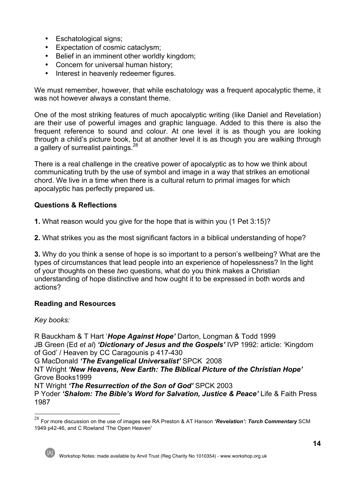- Eschatological signs;
- Expectation of cosmic cataclysm;
- Belief in an imminent other worldly kingdom;
- Concern for universal human history;
- Interest in heavenly redeemer figures.

We must remember, however, that while eschatology was a frequent apocalyptic theme, it was not however always a constant theme.

One of the most striking features of much apocalyptic writing (like Daniel and Revelation) are their use of powerful images and graphic language. Added to this there is also the frequent reference to sound and colour. At one level it is as though you are looking through a child's picture book, but at another level it is as though you are walking through a gallery of surrealist paintings.<sup>28</sup>

There is a real challenge in the creative power of apocalyptic as to how we think about communicating truth by the use of symbol and image in a way that strikes an emotional chord. We live in a time when there is a cultural return to primal images for which apocalyptic has perfectly prepared us.

# **Questions & Reflections**

**1.** What reason would you give for the hope that is within you (1 Pet 3:15)?

**2.** What strikes you as the most significant factors in a biblical understanding of hope?

**3.** Why do you think a sense of hope is so important to a person's wellbeing? What are the types of circumstances that lead people into an experience of hopelessness? In the light of your thoughts on these *two* questions, what do you think makes a Christian understanding of hope distinctive and how ought it to be expressed in both words and actions?

# **Reading and Resources**

*Key books:*

R Bauckham & T Hart '*Hope Against Hope'* Darton, Longman & Todd 1999 JB Green (Ed *et al*) *'Dictionary of Jesus and the Gospels'* IVP 1992: article: 'Kingdom of God' / Heaven by CC Caragounis p 417-430 G MacDonald *'The Evangelical Universalist'* SPCK 2008 NT Wright *'New Heavens, New Earth: The Biblical Picture of the Christian Hope'* Grove Books1999 NT Wright *'The Resurrection of the Son of God'* SPCK 2003 P Yoder *'Shalom: The Bible's Word for Salvation, Justice & Peace'* Life & Faith Press 1987

 <sup>28</sup> For more discussion on the use of images see RA Preston & AT Hanson *'Revelation': Torch Commentary* SCM 1949 p42-46, and C Rowland 'The Open Heaven'